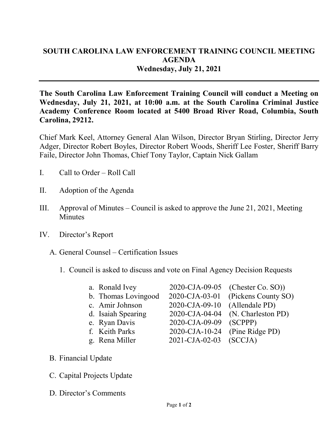## **SOUTH CAROLINA LAW ENFORCEMENT TRAINING COUNCIL MEETING AGENDA Wednesday, July 21, 2021**

**The South Carolina Law Enforcement Training Council will conduct a Meeting on Wednesday, July 21, 2021, at 10:00 a.m. at the South Carolina Criminal Justice Academy Conference Room located at 5400 Broad River Road, Columbia, South Carolina, 29212.** 

Chief Mark Keel, Attorney General Alan Wilson, Director Bryan Stirling, Director Jerry Adger, Director Robert Boyles, Director Robert Woods, Sheriff Lee Foster, Sheriff Barry Faile, Director John Thomas, Chief Tony Taylor, Captain Nick Gallam

- I. Call to Order Roll Call
- II. Adoption of the Agenda
- III. Approval of Minutes Council is asked to approve the June 21, 2021, Meeting **Minutes**
- IV. Director's Report
	- A. General Counsel Certification Issues
		- 1. Council is asked to discuss and vote on Final Agency Decision Requests

| a. Ronald Ivey      |                                | 2020-CJA-09-05 (Chester Co. SO)) |
|---------------------|--------------------------------|----------------------------------|
| b. Thomas Lovingood | 2020-CJA-03-01                 | (Pickens County SO)              |
| c. Amir Johnson     | 2020-CJA-09-10                 | (Allendale PD)                   |
| d. Isaiah Spearing  | 2020-CJA-04-04                 | (N. Charleston PD)               |
| e. Ryan Davis       | 2020-CJA-09-09                 | (SCPPP)                          |
| f. Keith Parks      | 2020-CJA-10-24 (Pine Ridge PD) |                                  |
| g. Rena Miller      | 2021-CJA-02-03 (SCCJA)         |                                  |

- B. Financial Update
- C. Capital Projects Update
- D. Director's Comments